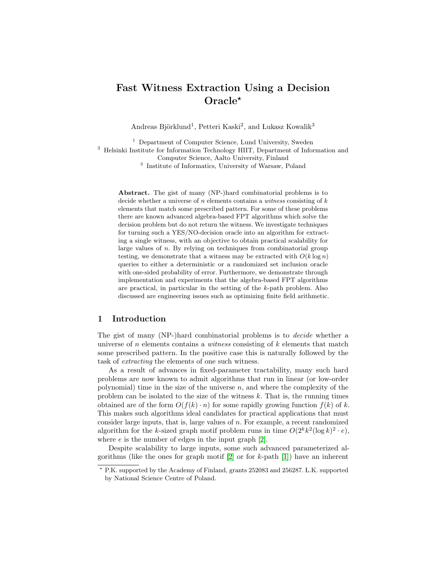# Fast Witness Extraction Using a Decision Oracle?

Andreas Björklund<sup>1</sup>, Petteri Kaski<sup>2</sup>, and Lukasz Kowalik<sup>3</sup>

<sup>1</sup> Department of Computer Science, Lund University, Sweden <sup>2</sup> Helsinki Institute for Information Technology HIIT, Department of Information and Computer Science, Aalto University, Finland

3 Institute of Informatics, University of Warsaw, Poland

Abstract. The gist of many (NP-)hard combinatorial problems is to decide whether a universe of n elements contains a witness consisting of  $k$ elements that match some prescribed pattern. For some of these problems there are known advanced algebra-based FPT algorithms which solve the decision problem but do not return the witness. We investigate techniques for turning such a YES/NO-decision oracle into an algorithm for extracting a single witness, with an objective to obtain practical scalability for large values of  $n$ . By relying on techniques from combinatorial group testing, we demonstrate that a witness may be extracted with  $O(k \log n)$ queries to either a deterministic or a randomized set inclusion oracle with one-sided probability of error. Furthermore, we demonstrate through implementation and experiments that the algebra-based FPT algorithms are practical, in particular in the setting of the k-path problem. Also discussed are engineering issues such as optimizing finite field arithmetic.

## 1 Introduction

The gist of many (NP-)hard combinatorial problems is to decide whether a universe of n elements contains a *witness* consisting of  $k$  elements that match some prescribed pattern. In the positive case this is naturally followed by the task of extracting the elements of one such witness.

As a result of advances in fixed-parameter tractability, many such hard problems are now known to admit algorithms that run in linear (or low-order polynomial) time in the size of the universe  $n$ , and where the complexity of the problem can be isolated to the size of the witness  $k$ . That is, the running times obtained are of the form  $O(f(k) \cdot n)$  for some rapidly growing function  $f(k)$  of k. This makes such algorithms ideal candidates for practical applications that must consider large inputs, that is, large values of  $n$ . For example, a recent randomized algorithm for the k-sized graph motif problem runs in time  $O(2^k k^2 (\log k)^2 \cdot e)$ , where  $e$  is the number of edges in the input graph  $[2]$ .

Despite scalability to large inputs, some such advanced parameterized algorithms (like the ones for graph motif  $[2]$  or for k-path  $[1]$ ) have an inherent

<sup>?</sup> P.K. supported by the Academy of Finland, grants 252083 and 256287. L.K. supported by National Science Centre of Poland.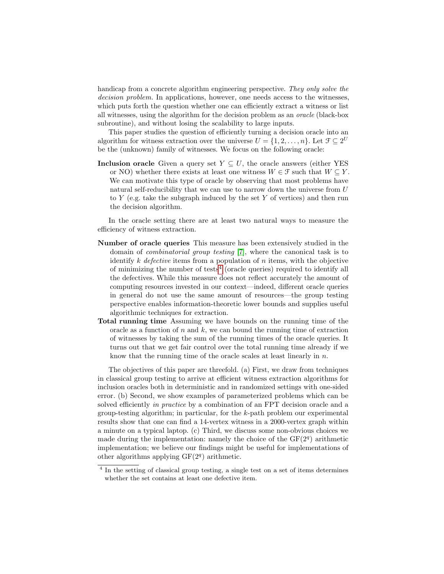handicap from a concrete algorithm engineering perspective. They only solve the decision problem. In applications, however, one needs access to the witnesses, which puts forth the question whether one can efficiently extract a witness or list all witnesses, using the algorithm for the decision problem as an oracle (black-box subroutine), and without losing the scalability to large inputs.

This paper studies the question of efficiently turning a decision oracle into an algorithm for witness extraction over the universe  $U = \{1, 2, ..., n\}$ . Let  $\mathcal{F} \subseteq 2^U$ be the (unknown) family of witnesses. We focus on the following oracle:

Inclusion oracle Given a query set  $Y \subseteq U$ , the oracle answers (either YES or NO) whether there exists at least one witness  $W \in \mathcal{F}$  such that  $W \subseteq Y$ . We can motivate this type of oracle by observing that most problems have natural self-reducibility that we can use to narrow down the universe from U to  $Y$  (e.g. take the subgraph induced by the set  $Y$  of vertices) and then run the decision algorithm.

In the oracle setting there are at least two natural ways to measure the efficiency of witness extraction.

- Number of oracle queries This measure has been extensively studied in the domain of combinatorial group testing [\[7\]](#page-11-2), where the canonical task is to identify  $k$  defective items from a population of  $n$  items, with the objective of minimizing the number of tests<sup>[4](#page-1-0)</sup> (oracle queries) required to identify all the defectives. While this measure does not reflect accurately the amount of computing resources invested in our context—indeed, different oracle queries in general do not use the same amount of resources—the group testing perspective enables information-theoretic lower bounds and supplies useful algorithmic techniques for extraction.
- Total running time Assuming we have bounds on the running time of the oracle as a function of  $n$  and  $k$ , we can bound the running time of extraction of witnesses by taking the sum of the running times of the oracle queries. It turns out that we get fair control over the total running time already if we know that the running time of the oracle scales at least linearly in n.

The objectives of this paper are threefold. (a) First, we draw from techniques in classical group testing to arrive at efficient witness extraction algorithms for inclusion oracles both in deterministic and in randomized settings with one-sided error. (b) Second, we show examples of parameterized problems which can be solved efficiently in practice by a combination of an FPT decision oracle and a group-testing algorithm; in particular, for the  $k$ -path problem our experimental results show that one can find a 14-vertex witness in a 2000-vertex graph within a minute on a typical laptop. (c) Third, we discuss some non-obvious choices we made during the implementation: namely the choice of the  $GF(2<sup>q</sup>)$  arithmetic implementation; we believe our findings might be useful for implementations of other algorithms applying  $GF(2<sup>q</sup>)$  arithmetic.

<span id="page-1-0"></span><sup>&</sup>lt;sup>4</sup> In the setting of classical group testing, a single test on a set of items determines whether the set contains at least one defective item.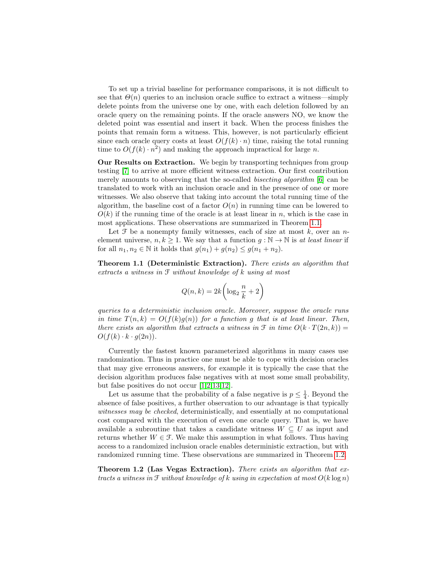To set up a trivial baseline for performance comparisons, it is not difficult to see that  $\Theta(n)$  queries to an inclusion oracle suffice to extract a witness—simply delete points from the universe one by one, with each deletion followed by an oracle query on the remaining points. If the oracle answers NO, we know the deleted point was essential and insert it back. When the process finishes the points that remain form a witness. This, however, is not particularly efficient since each oracle query costs at least  $O(f(k) \cdot n)$  time, raising the total running time to  $O(f(k) \cdot n^2)$  and making the approach impractical for large n.

Our Results on Extraction. We begin by transporting techniques from group testing [\[7\]](#page-11-2) to arrive at more efficient witness extraction. Our first contribution merely amounts to observing that the so-called *bisecting algorithm* [\[6\]](#page-11-3) can be translated to work with an inclusion oracle and in the presence of one or more witnesses. We also observe that taking into account the total running time of the algorithm, the baseline cost of a factor  $O(n)$  in running time can be lowered to  $O(k)$  if the running time of the oracle is at least linear in n, which is the case in most applications. These observations are summarized in Theorem [1.1.](#page-2-0)

Let  $\mathcal F$  be a nonempty family witnesses, each of size at most k, over an nelement universe,  $n, k \geq 1$ . We say that a function  $g : \mathbb{N} \to \mathbb{N}$  is at least linear if for all  $n_1, n_2 \in \mathbb{N}$  it holds that  $g(n_1) + g(n_2) \le g(n_1 + n_2)$ .

<span id="page-2-0"></span>Theorem 1.1 (Deterministic Extraction). There exists an algorithm that extracts a witness in F without knowledge of k using at most

$$
Q(n,k) = 2k \left( \log_2 \frac{n}{k} + 2 \right)
$$

queries to a deterministic inclusion oracle. Moreover, suppose the oracle runs in time  $T(n, k) = O(f(k)g(n))$  for a function g that is at least linear. Then, there exists an algorithm that extracts a witness in  $\mathcal F$  in time  $O(k \cdot T(2n, k)) =$  $O(f(k) \cdot k \cdot q(2n)).$ 

Currently the fastest known parameterized algorithms in many cases use randomization. Thus in practice one must be able to cope with decision oracles that may give erroneous answers, for example it is typically the case that the decision algorithm produces false negatives with at most some small probability, but false positives do not occur [\[1](#page-11-1)[,2,](#page-11-0)[13,](#page-11-4)[12\]](#page-11-5).

Let us assume that the probability of a false negative is  $p \leq \frac{1}{4}$ . Beyond the absence of false positives, a further observation to our advantage is that typically witnesses may be checked, deterministically, and essentially at no computational cost compared with the execution of even one oracle query. That is, we have available a subroutine that takes a candidate witness  $W \subseteq U$  as input and returns whether  $W \in \mathcal{F}$ . We make this assumption in what follows. Thus having access to a randomized inclusion oracle enables deterministic extraction, but with randomized running time. These observations are summarized in Theorem [1.2.](#page-2-1)

<span id="page-2-1"></span>Theorem 1.2 (Las Vegas Extraction). There exists an algorithm that extracts a witness in  $\mathcal F$  without knowledge of k using in expectation at most  $O(k \log n)$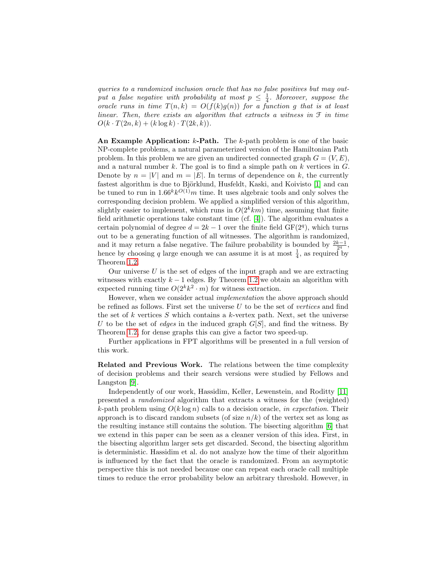queries to a randomized inclusion oracle that has no false positives but may output a false negative with probability at most  $p \leq \frac{1}{4}$ . Moreover, suppose the oracle runs in time  $T(n,k) = O(f(k)g(n))$  for a function g that is at least linear. Then, there exists an algorithm that extracts a witness in  $\mathfrak F$  in time  $O(k \cdot T(2n, k) + (k \log k) \cdot T(2k, k)).$ 

An Example Application:  $k$ -Path. The  $k$ -path problem is one of the basic NP-complete problems, a natural parameterized version of the Hamiltonian Path problem. In this problem we are given an undirected connected graph  $G = (V, E)$ , and a natural number  $k$ . The goal is to find a simple path on  $k$  vertices in  $G$ . Denote by  $n = |V|$  and  $m = |E|$ . In terms of dependence on k, the currently fastest algorithm is due to Björklund, Husfeldt, Kaski, and Koivisto [\[1\]](#page-11-1) and can be tuned to run in  $1.66 \kappa k^{O(1)} m$  time. It uses algebraic tools and only solves the corresponding decision problem. We applied a simplified version of this algorithm, slightly easier to implement, which runs in  $O(2^k k m)$  time, assuming that finite field arithmetic operations take constant time (cf. [\[4\]](#page-11-6)). The algorithm evaluates a certain polynomial of degree  $d = 2k - 1$  over the finite field  $GF(2<sup>q</sup>)$ , which turns out to be a generating function of all witnesses. The algorithm is randomized, and it may return a false negative. The failure probability is bounded by  $\frac{2k-1}{2^q}$ , hence by choosing q large enough we can assume it is at most  $\frac{1}{4}$ , as required by Theorem [1.2.](#page-2-1)

Our universe  $U$  is the set of edges of the input graph and we are extracting witnesses with exactly  $k - 1$  edges. By Theorem [1.2](#page-2-1) we obtain an algorithm with expected running time  $O(2^k k^2 \cdot m)$  for witness extraction.

However, when we consider actual implementation the above approach should be refined as follows. First set the universe  $U$  to be the set of vertices and find the set of k vertices  $S$  which contains a k-vertex path. Next, set the universe U to be the set of *edges* in the induced graph  $G[S]$ , and find the witness. By Theorem [1.2,](#page-2-1) for dense graphs this can give a factor two speed-up.

Further applications in FPT algorithms will be presented in a full version of this work.

Related and Previous Work. The relations between the time complexity of decision problems and their search versions were studied by Fellows and Langston [\[9\]](#page-11-7).

Independently of our work, Hassidim, Keller, Lewenstein, and Roditty [\[11\]](#page-11-8) presented a randomized algorithm that extracts a witness for the (weighted) k-path problem using  $O(k \log n)$  calls to a decision oracle, in expectation. Their approach is to discard random subsets (of size  $n/k$ ) of the vertex set as long as the resulting instance still contains the solution. The bisecting algorithm [\[6\]](#page-11-3) that we extend in this paper can be seen as a cleaner version of this idea. First, in the bisecting algorithm larger sets get discarded. Second, the bisecting algorithm is deterministic. Hassidim et al. do not analyze how the time of their algorithm is influenced by the fact that the oracle is randomized. From an asymptotic perspective this is not needed because one can repeat each oracle call multiple times to reduce the error probability below an arbitrary threshold. However, in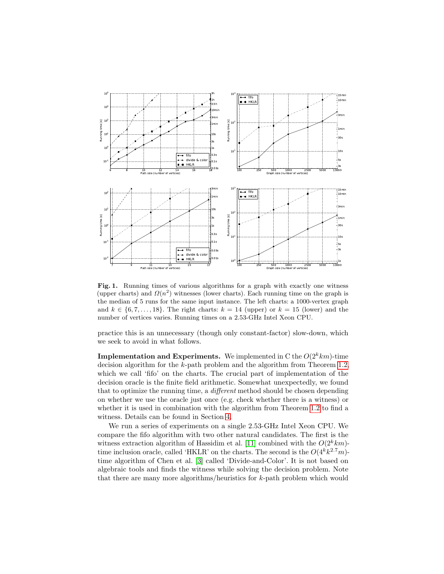

<span id="page-4-0"></span>Fig. 1. Running times of various algorithms for a graph with exactly one witness (upper charts) and  $\Omega(n^2)$  witnesses (lower charts). Each running time on the graph is the median of 5 runs for the same input instance. The left charts: a 1000-vertex graph and  $k \in \{6, 7, \ldots, 18\}$ . The right charts:  $k = 14$  (upper) or  $k = 15$  (lower) and the number of vertices varies. Running times on a 2.53-GHz Intel Xeon CPU.

practice this is an unnecessary (though only constant-factor) slow-down, which we seek to avoid in what follows.

**Implementation and Experiments.** We implemented in C the  $O(2^k k m)$ -time decision algorithm for the k-path problem and the algorithm from Theorem [1.2,](#page-2-1) which we call 'fifo' on the charts. The crucial part of implementation of the decision oracle is the finite field arithmetic. Somewhat unexpectedly, we found that to optimize the running time, a different method should be chosen depending on whether we use the oracle just once (e.g. check whether there is a witness) or whether it is used in combination with the algorithm from Theorem [1.2](#page-2-1) to find a witness. Details can be found in Section [4.](#page-9-0)

We run a series of experiments on a single 2.53-GHz Intel Xeon CPU. We compare the fifo algorithm with two other natural candidates. The first is the witness extraction algorithm of Hassidim et al. [\[11\]](#page-11-8) combined with the  $O(2^k k m)$ time inclusion oracle, called 'HKLR' on the charts. The second is the  $O(4^k k^{2.7}m)$ time algorithm of Chen et al. [\[3\]](#page-11-9) called 'Divide-and-Color'. It is not based on algebraic tools and finds the witness while solving the decision problem. Note that there are many more algorithms/heuristics for k-path problem which would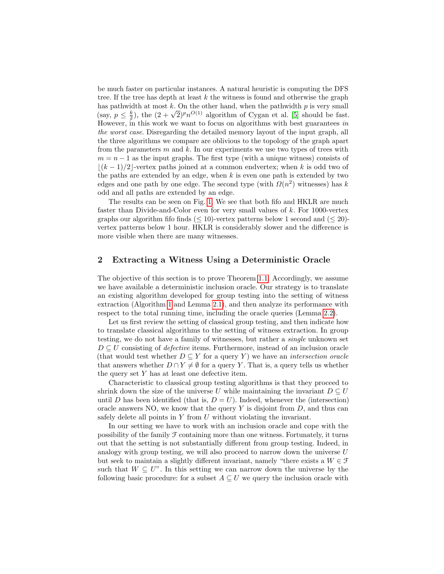be much faster on particular instances. A natural heuristic is computing the DFS tree. If the tree has depth at least  $k$  the witness is found and otherwise the graph has pathwidth at most  $k$ . On the other hand, when the pathwidth  $p$  is very small has pathwidth at most k. On the other hand, when the pathwidth p is very small (say,  $p \leq \frac{k}{2}$ ), the  $(2 + \sqrt{2})^p n^{O(1)}$  algorithm of Cygan et al. [\[5\]](#page-11-10) should be fast. However, in this work we want to focus on algorithms with best guarantees in the worst case. Disregarding the detailed memory layout of the input graph, all the three algorithms we compare are oblivious to the topology of the graph apart from the parameters  $m$  and  $k$ . In our experiments we use two types of trees with  $m = n - 1$  as the input graphs. The first type (with a unique witness) consists of  $|(k-1)/2|$ -vertex paths joined at a common endvertex; when k is odd two of the paths are extended by an edge, when  $k$  is even one path is extended by two edges and one path by one edge. The second type (with  $\Omega(n^2)$  witnesses) has k odd and all paths are extended by an edge.

The results can be seen on Fig. [1.](#page-4-0) We see that both fifo and HKLR are much faster than Divide-and-Color even for very small values of  $k$ . For 1000-vertex graphs our algorithm fifo finds ( $\leq 10$ )-vertex patterns below 1 second and ( $\leq 20$ )vertex patterns below 1 hour. HKLR is considerably slower and the difference is more visible when there are many witnesses.

#### 2 Extracting a Witness Using a Deterministic Oracle

The objective of this section is to prove Theorem [1.1.](#page-2-0) Accordingly, we assume we have available a deterministic inclusion oracle. Our strategy is to translate an existing algorithm developed for group testing into the setting of witness extraction (Algorithm [1](#page-6-0) and Lemma [2.1\)](#page-6-1), and then analyze its performance with respect to the total running time, including the oracle queries (Lemma [2.2\)](#page-7-0).

Let us first review the setting of classical group testing, and then indicate how to translate classical algorithms to the setting of witness extraction. In group testing, we do not have a family of witnesses, but rather a single unknown set  $D \subseteq U$  consisting of *defective* items. Furthermore, instead of an inclusion oracle (that would test whether  $D \subseteq Y$  for a query Y) we have an *intersection oracle* that answers whether  $D \cap Y \neq \emptyset$  for a query Y. That is, a query tells us whether the query set  $Y$  has at least one defective item.

Characteristic to classical group testing algorithms is that they proceed to shrink down the size of the universe U while maintaining the invariant  $D \subseteq U$ until D has been identified (that is,  $D = U$ ). Indeed, whenever the (intersection) oracle answers NO, we know that the query  $Y$  is disjoint from  $D$ , and thus can safely delete all points in  $Y$  from  $U$  without violating the invariant.

In our setting we have to work with an inclusion oracle and cope with the possibility of the family F containing more than one witness. Fortunately, it turns out that the setting is not substantially different from group testing. Indeed, in analogy with group testing, we will also proceed to narrow down the universe U but seek to maintain a slightly different invariant, namely "there exists a  $W \in \mathcal{F}$ such that  $W \subseteq U$ ". In this setting we can narrow down the universe by the following basic procedure: for a subset  $A \subseteq U$  we query the inclusion oracle with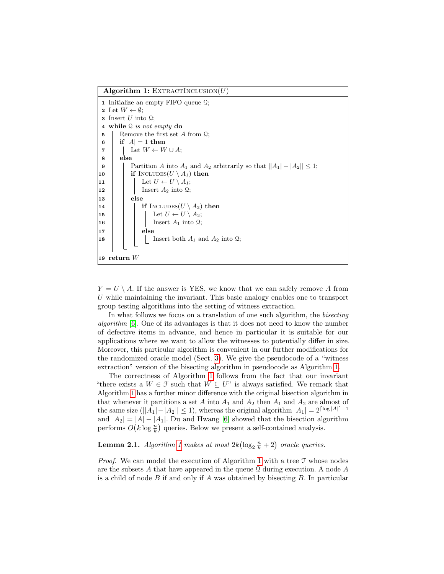<span id="page-6-2"></span><span id="page-6-0"></span>Algorithm 1:  $\text{EXT}$ RACTINCLUSION $(U)$ 1 Initialize an empty FIFO queue Q; 2 Let  $W \leftarrow \emptyset$ ; 3 Insert  $U$  into  $Q$ ; 4 while  $Q$  is not empty do  $\mathbf{5}$  Remove the first set A from Q; 6 if  $|A| = 1$  then 7 | Let  $W \leftarrow W \cup A$ ; 8 else 9 | Partition A into  $A_1$  and  $A_2$  arbitrarily so that  $||A_1| - |A_2|| \leq 1$ ; |10 | if Includes( $U \setminus A_1$ ) then  $\vert 11 \vert \vert \vert$  Let  $U \leftarrow U \setminus A_1$ ; |**12** | | Insert  $A_2$  into  $\Omega$ ; 13 | else 14 | | if  $INCLUDES(U \setminus A_2)$  then 15  $\vert \vert \vert$   $\vert$  Let  $U \leftarrow U \setminus A_2$ ; 16 | | | Insert  $A_1$  into  $\Omega$ ;  $\vert 17 \vert$   $\vert$   $\vert$  else  $\begin{array}{|c|c|c|c|c|c|c|c|c|} \hline \end{array}$  Insert both  $A_1$  and  $A_2$  into 2;  $|19 \>$  return  $W$ 

<span id="page-6-3"></span> $Y = U \setminus A$ . If the answer is YES, we know that we can safely remove A from U while maintaining the invariant. This basic analogy enables one to transport group testing algorithms into the setting of witness extraction.

In what follows we focus on a translation of one such algorithm, the bisecting algorithm  $[6]$ . One of its advantages is that it does not need to know the number of defective items in advance, and hence in particular it is suitable for our applications where we want to allow the witnesses to potentially differ in size. Moreover, this particular algorithm is convenient in our further modifications for the randomized oracle model (Sect. [3\)](#page-7-1). We give the pseudocode of a "witness extraction" version of the bisecting algorithm in pseudocode as Algorithm [1.](#page-6-0)

The correctness of Algorithm [1](#page-6-0) follows from the fact that our invariant "there exists a  $W \in \mathcal{F}$  such that  $W \subseteq U$ " is always satisfied. We remark that Algorithm [1](#page-6-0) has a further minor difference with the original bisection algorithm in that whenever it partitions a set A into  $A_1$  and  $A_2$  then  $A_1$  and  $A_2$  are almost of the same size ( $||A_1|-|A_2|| \leq 1$ ), whereas the original algorithm  $|A_1| = 2^{\lceil \log |A| \rceil - 1}$ and  $|A_2| = |A| - |A_1|$ . Du and Hwang [\[6\]](#page-11-3) showed that the bisection algorithm performs  $O(k \log \frac{n}{k})$  queries. Below we present a self-contained analysis.

## <span id="page-6-1"></span>**Lemma 2.1.** Algorithm [1](#page-6-0) makes at most  $2k(\log_2 \frac{n}{k} + 2)$  oracle queries.

*Proof.* We can model the execution of Algorithm [1](#page-6-0) with a tree  $\mathcal T$  whose nodes are the subsets  $A$  that have appeared in the queue  $\Omega$  during execution. A node  $A$ is a child of node  $B$  if and only if  $A$  was obtained by bisecting  $B$ . In particular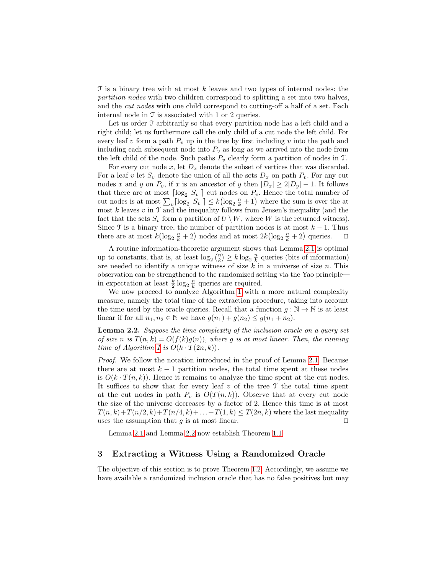$\mathcal T$  is a binary tree with at most k leaves and two types of internal nodes: the partition nodes with two children correspond to splitting a set into two halves, and the cut nodes with one child correspond to cutting-off a half of a set. Each internal node in T is associated with 1 or 2 queries.

Let us order T arbitrarily so that every partition node has a left child and a right child; let us furthermore call the only child of a cut node the left child. For every leaf v form a path  $P_v$  up in the tree by first including v into the path and including each subsequent node into  $P_v$  as long as we arrived into the node from the left child of the node. Such paths  $P_v$  clearly form a partition of nodes in T.

For every cut node  $x$ , let  $D_x$  denote the subset of vertices that was discarded. For a leaf v let  $S_v$  denote the union of all the sets  $D_x$  on path  $P_v$ . For any cut nodes x and y on  $P_v$ , if x is an ancestor of y then  $|D_x| \geq 2|D_y| - 1$ . It follows that there are at most  $\lceil \log_2 |S_v| \rceil$  cut nodes on  $P_v$ . Hence the total number of cut nodes is at most  $\sum_{v} \lceil \log_2 |S_v| \rceil \leq k (\log_2 \frac{n}{k} + 1)$  where the sum is over the at most  $k$  leaves  $v$  in  $\mathcal T$  and the inequality follows from Jensen's inequality (and the fact that the sets  $S_v$  form a partition of  $U \setminus W$ , where W is the returned witness). Since T is a binary tree, the number of partition nodes is at most  $k - 1$ . Thus there are at most  $k(\log_2 \frac{n}{k} + 2)$  nodes and at most  $2k(\log_2 \frac{n}{k} + 2)$  queries.  $\Box$ 

A routine information-theoretic argument shows that Lemma [2.1](#page-6-1) is optimal up to constants, that is, at least  $\log_2\binom{n}{k} \ge k \log_2\frac{n}{k}$  queries (bits of information) are needed to identify a unique witness of size  $k$  in a universe of size  $n$ . This observation can be strengthened to the randomized setting via the Yao principle in expectation at least  $\frac{k}{2} \log_2 \frac{n}{k}$  queries are required.

We now proceed to analyze Algorithm [1](#page-6-0) with a more natural complexity measure, namely the total time of the extraction procedure, taking into account the time used by the oracle queries. Recall that a function  $g : \mathbb{N} \to \mathbb{N}$  is at least linear if for all  $n_1, n_2 \in \mathbb{N}$  we have  $g(n_1) + g(n_2) \leq g(n_1 + n_2)$ .

<span id="page-7-0"></span>Lemma 2.2. Suppose the time complexity of the inclusion oracle on a query set of size n is  $T(n, k) = O(f(k)g(n))$ , where g is at most linear. Then, the running time of Algorithm [1](#page-6-0) is  $O(k \cdot T(2n, k))$ .

Proof. We follow the notation introduced in the proof of Lemma [2.1.](#page-6-1) Because there are at most  $k-1$  partition nodes, the total time spent at these nodes is  $O(k \cdot T(n,k))$ . Hence it remains to analyze the time spent at the cut nodes. It suffices to show that for every leaf  $v$  of the tree  $\mathcal T$  the total time spent at the cut nodes in path  $P_v$  is  $O(T(n,k))$ . Observe that at every cut node the size of the universe decreases by a factor of 2. Hence this time is at most  $T(n, k)+T(n/2, k)+T(n/4, k)+\ldots+T(1, k) \leq T(2n, k)$  where the last inequality uses the assumption that  $g$  is at most linear.

Lemma [2.1](#page-6-1) and Lemma [2.2](#page-7-0) now establish Theorem [1.1.](#page-2-0)

## <span id="page-7-1"></span>3 Extracting a Witness Using a Randomized Oracle

The objective of this section is to prove Theorem [1.2.](#page-2-1) Accordingly, we assume we have available a randomized inclusion oracle that has no false positives but may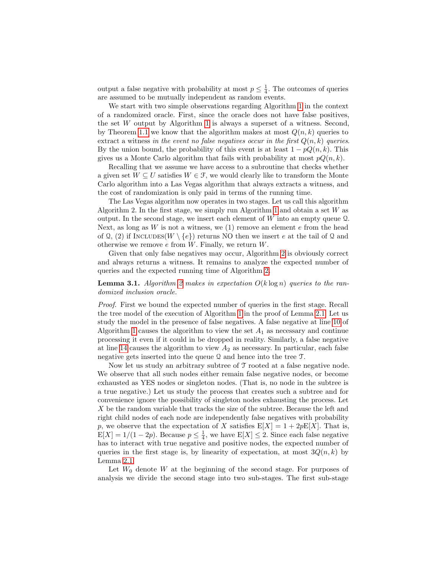output a false negative with probability at most  $p \leq \frac{1}{4}$ . The outcomes of queries are assumed to be mutually independent as random events.

We start with two simple observations regarding Algorithm [1](#page-6-0) in the context of a randomized oracle. First, since the oracle does not have false positives, the set  $W$  output by Algorithm [1](#page-6-0) is always a superset of a witness. Second, by Theorem [1.1](#page-2-0) we know that the algorithm makes at most  $Q(n, k)$  queries to extract a witness in the event no false negatives occur in the first  $Q(n, k)$  queries. By the union bound, the probability of this event is at least  $1 - pQ(n, k)$ . This gives us a Monte Carlo algorithm that fails with probability at most  $pQ(n, k)$ .

Recalling that we assume we have access to a subroutine that checks whether a given set  $W \subseteq U$  satisfies  $W \in \mathcal{F}$ , we would clearly like to transform the Monte Carlo algorithm into a Las Vegas algorithm that always extracts a witness, and the cost of randomization is only paid in terms of the running time.

<span id="page-8-0"></span>The Las Vegas algorithm now operates in two stages. Let us call this algorithm Algorithm 2. In the first stage, we simply run Algorithm [1](#page-6-0) and obtain a set  $W$  as output. In the second stage, we insert each element of  $W$  into an empty queue  $Q$ . Next, as long as  $W$  is not a witness, we (1) remove an element  $e$  from the head of Q, (2) if INCLUDES( $W \setminus \{e\}$ ) returns NO then we insert e at the tail of Q and otherwise we remove  $e$  from  $W$ . Finally, we return  $W$ .

Given that only false negatives may occur, Algorithm [2](#page-8-0) is obviously correct and always returns a witness. It remains to analyze the expected number of queries and the expected running time of Algorithm [2.](#page-8-0)

#### **Lemma 3.1.** Algorithm [2](#page-8-0) makes in expectation  $O(k \log n)$  queries to the randomized inclusion oracle.

Proof. First we bound the expected number of queries in the first stage. Recall the tree model of the execution of Algorithm [1](#page-6-0) in the proof of Lemma [2.1.](#page-6-1) Let us study the model in the presence of false negatives. A false negative at line [10](#page-6-2) of Algorithm [1](#page-6-0) causes the algorithm to view the set  $A_1$  as necessary and continue processing it even if it could in be dropped in reality. Similarly, a false negative at line [14](#page-6-3) causes the algorithm to view  $A_2$  as necessary. In particular, each false negative gets inserted into the queue Q and hence into the tree T.

Now let us study an arbitrary subtree of T rooted at a false negative node. We observe that all such nodes either remain false negative nodes, or become exhausted as YES nodes or singleton nodes. (That is, no node in the subtree is a true negative.) Let us study the process that creates such a subtree and for convenience ignore the possibility of singleton nodes exhausting the process. Let X be the random variable that tracks the size of the subtree. Because the left and right child nodes of each node are independently false negatives with probability p, we observe that the expectation of X satisfies  $E[X] = 1 + 2pE[X]$ . That is,  $E[X] = 1/(1-2p)$ . Because  $p \leq \frac{1}{4}$ , we have  $E[X] \leq 2$ . Since each false negative has to interact with true negative and positive nodes, the expected number of queries in the first stage is, by linearity of expectation, at most  $3Q(n, k)$  by Lemma [2.1.](#page-6-1)

Let  $W_0$  denote W at the beginning of the second stage. For purposes of analysis we divide the second stage into two sub-stages. The first sub-stage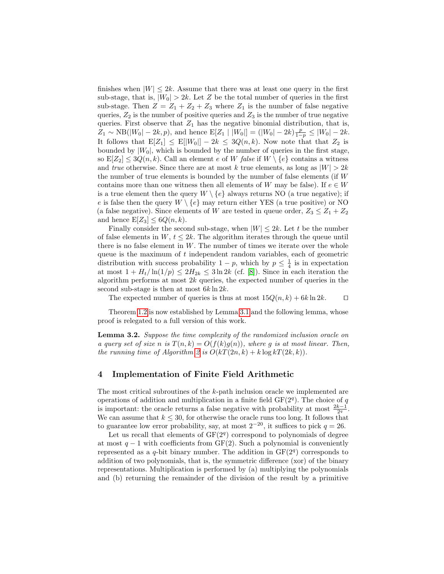finishes when  $|W| \leq 2k$ . Assume that there was at least one query in the first sub-stage, that is,  $|W_0| > 2k$ . Let Z be the total number of queries in the first sub-stage. Then  $Z = Z_1 + Z_2 + Z_3$  where  $Z_1$  is the number of false negative queries,  $Z_2$  is the number of positive queries and  $Z_3$  is the number of true negative queries. First observe that  $Z_1$  has the negative binomial distribution, that is,  $Z_1 \sim \text{NB}(|W_0| - 2k, p)$ , and hence  $\mathbb{E}[Z_1 | |W_0|] = (|W_0| - 2k) \frac{p}{1-p} \leq |W_0| - 2k$ . It follows that  $E[Z_1] \leq E[|W_0|] - 2k \leq 3Q(n,k)$ . Now note that that  $Z_2$  is bounded by  $|W_0|$ , which is bounded by the number of queries in the first stage, so  $E[Z_2] \leq 3Q(n,k)$ . Call an element e of W false if  $W \setminus \{e\}$  contains a witness and true otherwise. Since there are at most k true elements, as long as  $|W| > 2k$ the number of true elements is bounded by the number of false elements (if  $W$ contains more than one witness then all elements of W may be false). If  $e \in W$ is a true element then the query  $W \setminus \{e\}$  always returns NO (a true negative); if e is false then the query  $W \setminus \{e\}$  may return either YES (a true positive) or NO (a false negative). Since elements of W are tested in queue order,  $Z_3 \leq Z_1 + Z_2$ and hence  $E[Z_3] \leq 6Q(n,k)$ .

Finally consider the second sub-stage, when  $|W| \leq 2k$ . Let t be the number of false elements in W,  $t \leq 2k$ . The algorithm iterates through the queue until there is no false element in  $W$ . The number of times we iterate over the whole queue is the maximum of  $t$  independent random variables, each of geometric distribution with success probability  $1 - p$ , which by  $p \leq \frac{1}{4}$  is in expectation at most  $1 + H_t/\ln(1/p) \leq 2H_{2k} \leq 3\ln 2k$  (cf. [\[8\]](#page-11-11)). Since in each iteration the algorithm performs at most  $2k$  queries, the expected number of queries in the second sub-stage is then at most  $6k \ln 2k$ .

The expected number of queries is thus at most  $15Q(n, k) + 6k \ln 2k$ .  $\Box$ 

Theorem [1.2](#page-2-1) is now established by Lemma [3.1](#page-6-1) and the following lemma, whose proof is relegated to a full version of this work.

Lemma 3.2. Suppose the time complexity of the randomized inclusion oracle on a query set of size n is  $T(n,k) = O(f(k)g(n))$ , where g is at most linear. Then, the running time of Algorithm [2](#page-8-0) is  $O(kT(2n, k) + k \log kT(2k, k)).$ 

## <span id="page-9-0"></span>4 Implementation of Finite Field Arithmetic

The most critical subroutines of the k-path inclusion oracle we implemented are operations of addition and multiplication in a finite field  $GF(2<sup>q</sup>)$ . The choice of q is important: the oracle returns a false negative with probability at most  $\frac{2k-1}{2^q}$ . We can assume that  $k \leq 30$ , for otherwise the oracle runs too long. It follows that to guarantee low error probability, say, at most  $2^{-20}$ , it suffices to pick  $q = 26$ .

Let us recall that elements of  $GF(2<sup>q</sup>)$  correspond to polynomials of degree at most  $q-1$  with coefficients from GF(2). Such a polynomial is conveniently represented as a  $q$ -bit binary number. The addition in  $GF(2<sup>q</sup>)$  corresponds to addition of two polynomials, that is, the symmetric difference (xor) of the binary representations. Multiplication is performed by (a) multiplying the polynomials and (b) returning the remainder of the division of the result by a primitive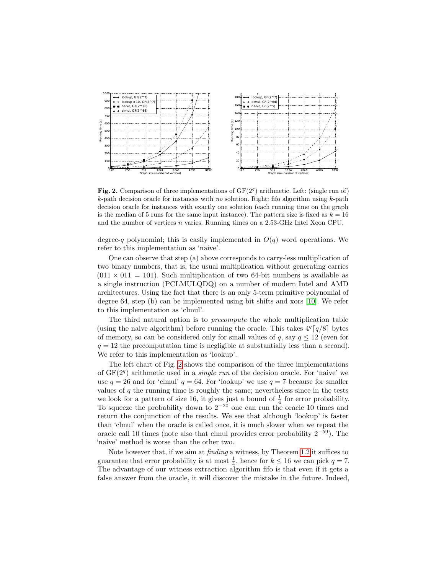

<span id="page-10-0"></span>Fig. 2. Comparison of three implementations of  $GF(2<sup>q</sup>)$  arithmetic. Left: (single run of)  $k$ -path decision oracle for instances with no solution. Right: fifo algorithm using  $k$ -path decision oracle for instances with exactly one solution (each running time on the graph is the median of 5 runs for the same input instance). The pattern size is fixed as  $k = 16$ and the number of vertices n varies. Running times on a 2.53-GHz Intel Xeon CPU.

degree-q polynomial; this is easily implemented in  $O(q)$  word operations. We refer to this implementation as 'naive'.

One can observe that step (a) above corresponds to carry-less multiplication of two binary numbers, that is, the usual multiplication without generating carries  $(011 \times 011 = 101)$ . Such multiplication of two 64-bit numbers is available as a single instruction (PCLMULQDQ) on a number of modern Intel and AMD architectures. Using the fact that there is an only 5-term primitive polynomial of degree 64, step (b) can be implemented using bit shifts and xors [\[10\]](#page-11-12). We refer to this implementation as 'clmul'.

The third natural option is to precompute the whole multiplication table (using the naive algorithm) before running the oracle. This takes  $4^q \lceil q/8 \rceil$  bytes of memory, so can be considered only for small values of q, say  $q \leq 12$  (even for  $q = 12$  the precomputation time is negligible at substantially less than a second). We refer to this implementation as 'lookup'.

The left chart of Fig. [2](#page-10-0) shows the comparison of the three implementations of  $GF(2<sup>q</sup>)$  arithmetic used in a *single run* of the decision oracle. For 'naive' we use  $q = 26$  and for 'clmul'  $q = 64$ . For 'lookup' we use  $q = 7$  because for smaller values of  $q$  the running time is roughly the same; nevertheless since in the tests we look for a pattern of size 16, it gives just a bound of  $\frac{1}{4}$  for error probability. To squeeze the probability down to  $2^{-20}$  one can run the oracle 10 times and return the conjunction of the results. We see that although 'lookup' is faster than 'clmul' when the oracle is called once, it is much slower when we repeat the oracle call 10 times (note also that clmul provides error probability  $2^{-59}$ ). The 'naive' method is worse than the other two.

Note however that, if we aim at finding a witness, by Theorem [1.2](#page-2-1) it suffices to guarantee that error probability is at most  $\frac{1}{4}$ , hence for  $k \leq 16$  we can pick  $q = 7$ . The advantage of our witness extraction algorithm fifo is that even if it gets a false answer from the oracle, it will discover the mistake in the future. Indeed,